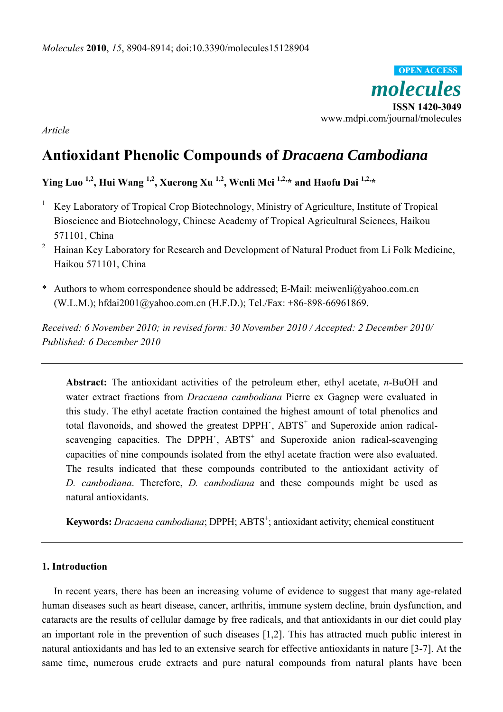*molecules*  **ISSN 1420-3049**  www.mdpi.com/journal/molecules **OPEN ACCESS**

*Article* 

# **Antioxidant Phenolic Compounds of** *Dracaena Cambodiana*

## **Ying Luo 1,2, Hui Wang 1,2, Xuerong Xu 1,2, Wenli Mei 1,2,\* and Haofu Dai 1,2,\***

- <sup>1</sup> Key Laboratory of Tropical Crop Biotechnology, Ministry of Agriculture, Institute of Tropical Bioscience and Biotechnology, Chinese Academy of Tropical Agricultural Sciences, Haikou 571101, China
- 2 Hainan Key Laboratory for Research and Development of Natural Product from Li Folk Medicine, Haikou 571101, China
- \* Authors to whom correspondence should be addressed; E-Mail: meiwenli@yahoo.com.cn (W.L.M.); hfdai2001@yahoo.com.cn (H.F.D.); Tel./Fax: +86-898-66961869.

*Received: 6 November 2010; in revised form: 30 November 2010 / Accepted: 2 December 2010/ Published: 6 December 2010* 

**Abstract:** The antioxidant activities of the petroleum ether, ethyl acetate, *n*-BuOH and water extract fractions from *Dracaena cambodiana* Pierre ex Gagnep were evaluated in this study. The ethyl acetate fraction contained the highest amount of total phenolics and total flavonoids, and showed the greatest DPPH , ABTS<sup>+</sup> and Superoxide anion radicalscavenging capacities. The DPPH , ABTS<sup>+</sup> and Superoxide anion radical-scavenging capacities of nine compounds isolated from the ethyl acetate fraction were also evaluated. The results indicated that these compounds contributed to the antioxidant activity of *D. cambodiana*. Therefore, *D. cambodiana* and these compounds might be used as natural antioxidants.

Keywords: *Dracaena cambodiana*; DPPH; ABTS<sup>+</sup>; antioxidant activity; chemical constituent

## **1. Introduction**

In recent years, there has been an increasing volume of evidence to suggest that many age-related human diseases such as heart disease, cancer, arthritis, immune system decline, brain dysfunction, and cataracts are the results of cellular damage by free radicals, and that antioxidants in our diet could play an important role in the prevention of such diseases [1,2]. This has attracted much public interest in natural antioxidants and has led to an extensive search for effective antioxidants in nature [3-7]. At the same time, numerous crude extracts and pure natural compounds from natural plants have been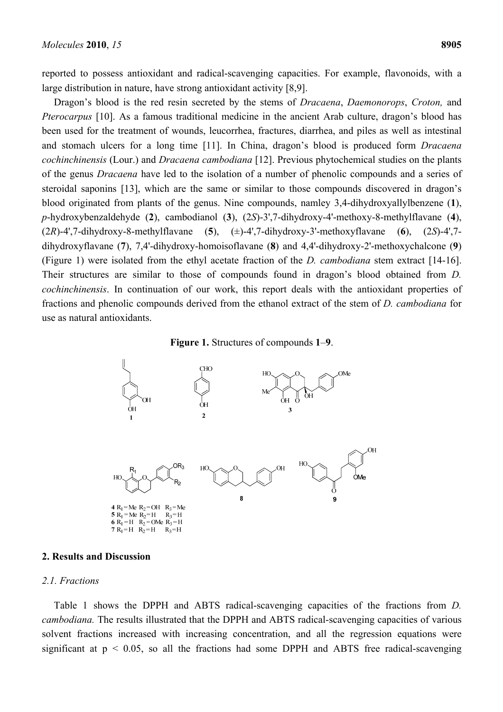reported to possess antioxidant and radical-scavenging capacities. For example, flavonoids, with a large distribution in nature, have strong antioxidant activity [8,9].

Dragon's blood is the red resin secreted by the stems of *Dracaena*, *Daemonorops*, *Croton,* and *Pterocarpus* [10]. As a famous traditional medicine in the ancient Arab culture, dragon's blood has been used for the treatment of wounds, leucorrhea, fractures, diarrhea, and piles as well as intestinal and stomach ulcers for a long time [11]. In China, dragon's blood is produced form *Dracaena cochinchinensis* (Lour.) and *Dracaena cambodiana* [12]. Previous phytochemical studies on the plants of the genus *Dracaena* have led to the isolation of a number of phenolic compounds and a series of steroidal saponins [13], which are the same or similar to those compounds discovered in dragon's blood originated from plants of the genus. Nine compounds, namley 3,4-dihydroxyallylbenzene (**1**), *p*-hydroxybenzaldehyde (**2**), cambodianol (**3**), (2*S*)-3',7-dihydroxy-4'-methoxy-8-methylflavane (**4**), (2*R*)-4',7-dihydroxy-8-methylflavane (**5**), (±)-4',7-dihydroxy-3'-methoxyflavane (**6**), (2*S*)-4',7 dihydroxyflavane (**7**), 7,4'-dihydroxy-homoisoflavane (**8**) and 4,4'-dihydroxy-2'-methoxychalcone (**9**) (Figure 1) were isolated from the ethyl acetate fraction of the *D. cambodiana* stem extract [14-16]. Their structures are similar to those of compounds found in dragon's blood obtained from *D. cochinchinensis*. In continuation of our work, this report deals with the antioxidant properties of fractions and phenolic compounds derived from the ethanol extract of the stem of *D. cambodiana* for use as natural antioxidants.

#### **Figure 1.** Structures of compounds **1**–**9**.



#### **2. Results and Discussion**

#### *2.1. Fractions*

Table 1 shows the DPPH and ABTS radical-scavenging capacities of the fractions from *D. cambodiana.* The results illustrated that the DPPH and ABTS radical-scavenging capacities of various solvent fractions increased with increasing concentration, and all the regression equations were significant at  $p < 0.05$ , so all the fractions had some DPPH and ABTS free radical-scavenging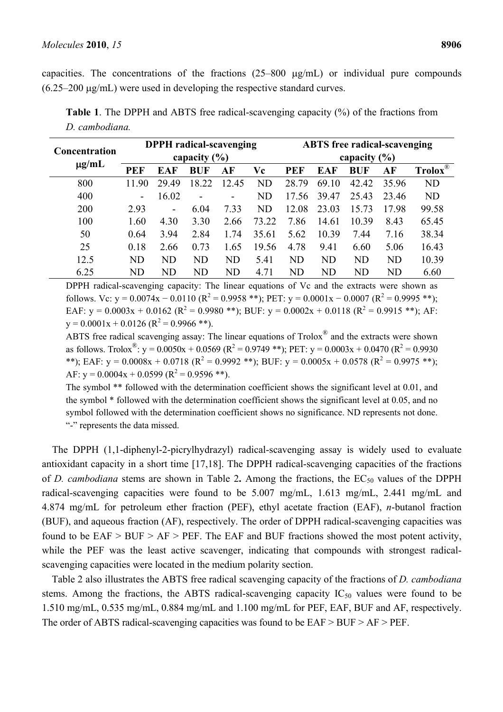capacities. The concentrations of the fractions  $(25-800 \mu g/mL)$  or individual pure compounds  $(6.25-200 \mu g/mL)$  were used in developing the respective standard curves.

| <b>Concentration</b><br>$\mu$ g/mL | <b>DPPH</b> radical-scavenging |                          |            |           |           | <b>ABTS</b> free radical-scavenging |           |            |           |                      |
|------------------------------------|--------------------------------|--------------------------|------------|-----------|-----------|-------------------------------------|-----------|------------|-----------|----------------------|
|                                    | capacity $(\% )$               |                          |            |           |           | capacity $(\% )$                    |           |            |           |                      |
|                                    | <b>PEF</b>                     | <b>EAF</b>               | <b>BUF</b> | AF        | Vc        | PEF                                 | EAF       | <b>BUF</b> | AF        | $Trolox^{\circledR}$ |
| 800                                | 11 90                          | 29.49                    | 18.22      | 12.45     | ND        | 28.79                               | 69.10     | 42.42      | 35.96     | <b>ND</b>            |
| 400                                | ۰                              | 16.02                    |            |           | <b>ND</b> | 17.56                               | 39.47     | 25.43      | 23.46     | <b>ND</b>            |
| 200                                | 2.93                           | $\overline{\phantom{0}}$ | 6.04       | 7.33      | ND        | 12.08                               | 23.03     | 15.73      | 17.98     | 99.58                |
| 100                                | 1.60                           | 4.30                     | 3.30       | 2.66      | 73.22     | 7.86                                | 14.61     | 10.39      | 8.43      | 65.45                |
| 50                                 | 0.64                           | 3.94                     | 2.84       | 1.74      | 35.61     | 5.62                                | 10.39     | 7.44       | 7.16      | 38.34                |
| 25                                 | 0.18                           | 2.66                     | 0.73       | 1.65      | 19.56     | 4.78                                | 9.41      | 6.60       | 5.06      | 16.43                |
| 12.5                               | <b>ND</b>                      | <b>ND</b>                | <b>ND</b>  | <b>ND</b> | 5.41      | <b>ND</b>                           | <b>ND</b> | <b>ND</b>  | <b>ND</b> | 10.39                |
| 6.25                               | <b>ND</b>                      | <b>ND</b>                | ND         | ND        | 4.71      | ND                                  | <b>ND</b> | <b>ND</b>  | <b>ND</b> | 6.60                 |

**Table 1**. The DPPH and ABTS free radical-scavenging capacity (%) of the fractions from *D. cambodiana.* 

DPPH radical-scavenging capacity: The linear equations of Vc and the extracts were shown as follows. Vc: y = 0.0074x – 0.0110 ( $R^2$  = 0.9958 \*\*); PET: y = 0.0001x – 0.0007 ( $R^2$  = 0.9995 \*\*); EAF:  $y = 0.0003x + 0.0162$  ( $R^2 = 0.9980$  \*\*); BUF:  $y = 0.0002x + 0.0118$  ( $R^2 = 0.9915$  \*\*); AF:  $y = 0.0001x + 0.0126$  ( $R^2 = 0.9966$ \*\*).

ABTS free radical scavenging assay: The linear equations of Trolox® and the extracts were shown as follows. Trolox<sup>®</sup>: y = 0.0050x + 0.0569 (R<sup>2</sup> = 0.9749 \*\*); PET: y = 0.0003x + 0.0470 (R<sup>2</sup> = 0.9930) \*\*); EAF: y = 0.0008x + 0.0718 ( $R^2$  = 0.9992 \*\*); BUF: y = 0.0005x + 0.0578 ( $R^2$  = 0.9975 \*\*); AF:  $y = 0.0004x + 0.0599$  ( $R^2 = 0.9596$ \*\*).

The symbol \*\* followed with the determination coefficient shows the significant level at 0.01, and the symbol \* followed with the determination coefficient shows the significant level at 0.05, and no symbol followed with the determination coefficient shows no significance. ND represents not done. "-" represents the data missed.

The DPPH (1,1-diphenyl-2-picrylhydrazyl) radical-scavenging assay is widely used to evaluate antioxidant capacity in a short time [17,18]. The DPPH radical-scavenging capacities of the fractions of *D. cambodiana* stems are shown in Table 2. Among the fractions, the EC<sub>50</sub> values of the DPPH radical-scavenging capacities were found to be 5.007 mg/mL, 1.613 mg/mL, 2.441 mg/mL and 4.874 mg/mL for petroleum ether fraction (PEF), ethyl acetate fraction (EAF), *n*-butanol fraction (BUF), and aqueous fraction (AF), respectively. The order of DPPH radical-scavenging capacities was found to be  $EAF > BUF > AF > PEF$ . The EAF and BUF fractions showed the most potent activity, while the PEF was the least active scavenger, indicating that compounds with strongest radicalscavenging capacities were located in the medium polarity section.

Table 2 also illustrates the ABTS free radical scavenging capacity of the fractions of *D. cambodiana* stems. Among the fractions, the ABTS radical-scavenging capacity  $IC_{50}$  values were found to be 1.510 mg/mL, 0.535 mg/mL, 0.884 mg/mL and 1.100 mg/mL for PEF, EAF, BUF and AF, respectively. The order of ABTS radical-scavenging capacities was found to be EAF > BUF > AF > PEF.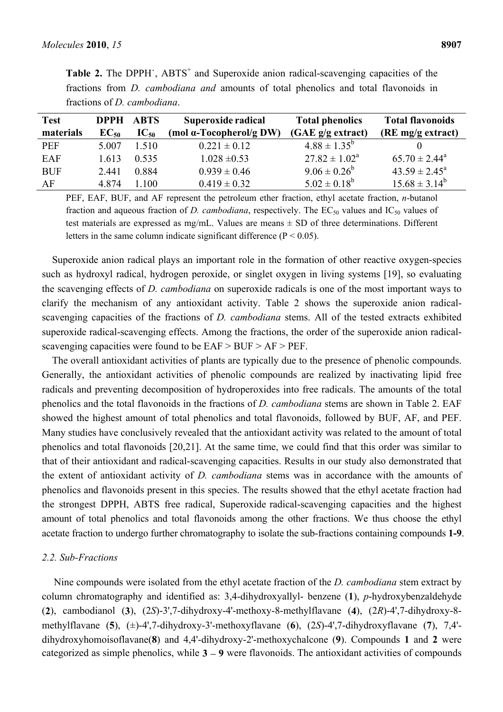| <b>Test</b> |           | <b>DPPH ABTS</b> | Superoxide radical              | <b>Total phenolics</b>   | <b>Total flavonoids</b>  |  |
|-------------|-----------|------------------|---------------------------------|--------------------------|--------------------------|--|
| materials   | $EC_{50}$ | $IC_{50}$        | (mol $\alpha$ -Tocopherol/g DW) | (GAE g/g extract)        | (RE mg/g extract)        |  |
| <b>PEF</b>  | 5.007     | 1.510            | $0.221 \pm 0.12$                | $4.88 \pm 1.35^b$        |                          |  |
| EAF         | 1.613     | 0.535            | $1.028 \pm 0.53$                | $27.82 \pm 1.02^{\circ}$ | $65.70 \pm 2.44^{\circ}$ |  |
| <b>BUF</b>  | 2.441     | 0.884            | $0.939 \pm 0.46$                | $9.06 \pm 0.26^b$        | $43.59 \pm 2.45^{\circ}$ |  |
| AF          | 4874      | 1.100            | $0.419 \pm 0.32$                | $5.02 \pm 0.18^b$        | $15.68 \pm 3.14^b$       |  |

Table 2. The DPPH , ABTS<sup>+</sup> and Superoxide anion radical-scavenging capacities of the fractions from *D. cambodiana and* amounts of total phenolics and total flavonoids in fractions of *D. cambodiana*.

PEF, EAF, BUF, and AF represent the petroleum ether fraction, ethyl acetate fraction, *n*-butanol fraction and aqueous fraction of *D. cambodiana*, respectively. The  $EC_{50}$  values and  $IC_{50}$  values of test materials are expressed as mg/mL. Values are means  $\pm$  SD of three determinations. Different letters in the same column indicate significant difference ( $P < 0.05$ ).

Superoxide anion radical plays an important role in the formation of other reactive oxygen-species such as hydroxyl radical, hydrogen peroxide, or singlet oxygen in living systems [19], so evaluating the scavenging effects of *D. cambodiana* on superoxide radicals is one of the most important ways to clarify the mechanism of any antioxidant activity. Table 2 shows the superoxide anion radicalscavenging capacities of the fractions of *D. cambodiana* stems. All of the tested extracts exhibited superoxide radical-scavenging effects. Among the fractions, the order of the superoxide anion radicalscavenging capacities were found to be  $EAF > BUF > AF > PEF$ .

The overall antioxidant activities of plants are typically due to the presence of phenolic compounds. Generally, the antioxidant activities of phenolic compounds are realized by inactivating lipid free radicals and preventing decomposition of hydroperoxides into free radicals. The amounts of the total phenolics and the total flavonoids in the fractions of *D. cambodiana* stems are shown in Table 2. EAF showed the highest amount of total phenolics and total flavonoids, followed by BUF, AF, and PEF. Many studies have conclusively revealed that the antioxidant activity was related to the amount of total phenolics and total flavonoids [20,21]. At the same time, we could find that this order was similar to that of their antioxidant and radical-scavenging capacities. Results in our study also demonstrated that the extent of antioxidant activity of *D. cambodiana* stems was in accordance with the amounts of phenolics and flavonoids present in this species. The results showed that the ethyl acetate fraction had the strongest DPPH, ABTS free radical, Superoxide radical-scavenging capacities and the highest amount of total phenolics and total flavonoids among the other fractions. We thus choose the ethyl acetate fraction to undergo further chromatography to isolate the sub-fractions containing compounds **1-9**.

#### *2.2. Sub-Fractions*

Nine compounds were isolated from the ethyl acetate fraction of the *D. cambodiana* stem extract by column chromatography and identified as: 3,4-dihydroxyallyl- benzene (**1**), *p*-hydroxybenzaldehyde (**2**), cambodianol (**3**), (2*S*)-3',7-dihydroxy-4'-methoxy-8-methylflavane (**4**), (2*R*)-4',7-dihydroxy-8 methylflavane (**5**), (±)-4',7-dihydroxy-3'-methoxyflavane (**6**), (2*S*)-4',7-dihydroxyflavane (**7**), 7,4' dihydroxyhomoisoflavane(**8**) and 4,4'-dihydroxy-2'-methoxychalcone (**9**). Compounds **1** and **2** were categorized as simple phenolics, while  $3 - 9$  were flavonoids. The antioxidant activities of compounds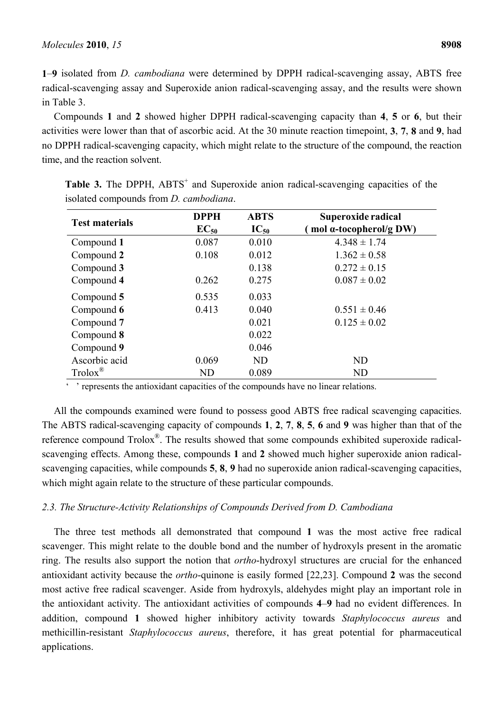**1**–**9** isolated from *D. cambodiana* were determined by DPPH radical-scavenging assay, ABTS free radical-scavenging assay and Superoxide anion radical-scavenging assay, and the results were shown in Table 3.

Compounds **1** and **2** showed higher DPPH radical-scavenging capacity than **4**, **5** or **6**, but their activities were lower than that of ascorbic acid. At the 30 minute reaction timepoint, **3**, **7**, **8** and **9**, had no DPPH radical-scavenging capacity, which might relate to the structure of the compound, the reaction time, and the reaction solvent.

|                       | <b>DPPH</b> | <b>ABTS</b> | Superoxide radical             |
|-----------------------|-------------|-------------|--------------------------------|
| <b>Test materials</b> | $EC_{50}$   | $IC_{50}$   | mol $\alpha$ -tocopherol/g DW) |
| Compound 1            | 0.087       | 0.010       | $4.348 \pm 1.74$               |
| Compound 2            | 0.108       | 0.012       | $1.362 \pm 0.58$               |
| Compound 3            |             | 0.138       | $0.272 \pm 0.15$               |
| Compound 4            | 0.262       | 0.275       | $0.087 \pm 0.02$               |
| Compound 5            | 0.535       | 0.033       |                                |
| Compound 6            | 0.413       | 0.040       | $0.551 \pm 0.46$               |
| Compound 7            |             | 0.021       | $0.125 \pm 0.02$               |
| Compound 8            |             | 0.022       |                                |
| Compound 9            |             | 0.046       |                                |
| Ascorbic acid         | 0.069       | <b>ND</b>   | <b>ND</b>                      |
| $Trolox^{\circledR}$  | <b>ND</b>   | 0.089       | <b>ND</b>                      |

Table 3. The DPPH, ABTS<sup>+</sup> and Superoxide anion radical-scavenging capacities of the isolated compounds from *D. cambodiana*.

'' represents the antioxidant capacities of the compounds have no linear relations.

All the compounds examined were found to possess good ABTS free radical scavenging capacities. The ABTS radical-scavenging capacity of compounds **1**, **2**, **7**, **8**, **5**, **6** and **9** was higher than that of the reference compound Trolox®. The results showed that some compounds exhibited superoxide radicalscavenging effects. Among these, compounds **1** and **2** showed much higher superoxide anion radicalscavenging capacities, while compounds **5**, **8**, **9** had no superoxide anion radical-scavenging capacities, which might again relate to the structure of these particular compounds.

## *2.3. The Structure-Activity Relationships of Compounds Derived from D. Cambodiana*

The three test methods all demonstrated that compound **1** was the most active free radical scavenger. This might relate to the double bond and the number of hydroxyls present in the aromatic ring. The results also support the notion that *ortho*-hydroxyl structures are crucial for the enhanced antioxidant activity because the *ortho*-quinone is easily formed [22,23]. Compound **2** was the second most active free radical scavenger. Aside from hydroxyls, aldehydes might play an important role in the antioxidant activity. The antioxidant activities of compounds **4**–**9** had no evident differences. In addition, compound **1** showed higher inhibitory activity towards *Staphylococcus aureus* and methicillin-resistant *Staphylococcus aureus*, therefore, it has great potential for pharmaceutical applications.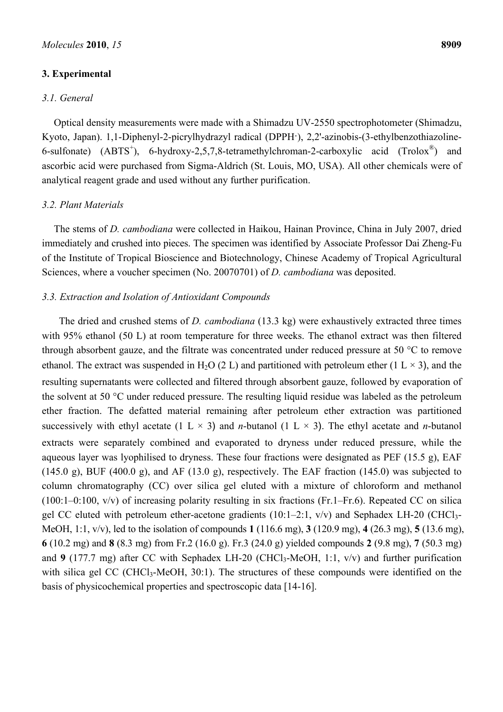## **3. Experimental**

### *3.1. General*

Optical density measurements were made with a Shimadzu UV-2550 spectrophotometer (Shimadzu, Kyoto, Japan). 1,1-Diphenyl-2-picrylhydrazyl radical (DPPH·), 2,2'-azinobis-(3-ethylbenzothiazoline-6-sulfonate)  $(ABTS^+)$ , 6-hydroxy-2,5,7,8-tetramethylchroman-2-carboxylic acid  $(Trolox^{\circledast})$  and ascorbic acid were purchased from Sigma-Aldrich (St. Louis, MO, USA). All other chemicals were of analytical reagent grade and used without any further purification.

### *3.2. Plant Materials*

The stems of *D. cambodiana* were collected in Haikou, Hainan Province, China in July 2007, dried immediately and crushed into pieces. The specimen was identified by Associate Professor Dai Zheng-Fu of the Institute of Tropical Bioscience and Biotechnology, Chinese Academy of Tropical Agricultural Sciences, where a voucher specimen (No. 20070701) of *D. cambodiana* was deposited.

### *3.3. Extraction and Isolation of Antioxidant Compounds*

The dried and crushed stems of *D. cambodiana* (13.3 kg) were exhaustively extracted three times with 95% ethanol (50 L) at room temperature for three weeks. The ethanol extract was then filtered through absorbent gauze, and the filtrate was concentrated under reduced pressure at 50 °C to remove ethanol. The extract was suspended in H<sub>2</sub>O (2 L) and partitioned with petroleum ether (1 L  $\times$  3), and the resulting supernatants were collected and filtered through absorbent gauze, followed by evaporation of the solvent at 50 °C under reduced pressure. The resulting liquid residue was labeled as the petroleum ether fraction. The defatted material remaining after petroleum ether extraction was partitioned successively with ethyl acetate (1 L  $\times$  3) and *n*-butanol (1 L  $\times$  3). The ethyl acetate and *n*-butanol extracts were separately combined and evaporated to dryness under reduced pressure, while the aqueous layer was lyophilised to dryness. These four fractions were designated as PEF (15.5 g), EAF  $(145.0 \text{ g})$ , BUF  $(400.0 \text{ g})$ , and AF  $(13.0 \text{ g})$ , respectively. The EAF fraction  $(145.0)$  was subjected to column chromatography (CC) over silica gel eluted with a mixture of chloroform and methanol (100:1–0:100, v/v) of increasing polarity resulting in six fractions (Fr.1–Fr.6). Repeated CC on silica gel CC eluted with petroleum ether-acetone gradients  $(10:1-2:1, v/v)$  and Sephadex LH-20 (CHCl<sub>3</sub>-MeOH, 1:1, v/v), led to the isolation of compounds **1** (116.6 mg), **3** (120.9 mg), **4** (26.3 mg), **5** (13.6 mg), **6** (10.2 mg) and **8** (8.3 mg) from Fr.2 (16.0 g). Fr.3 (24.0 g) yielded compounds **2** (9.8 mg), **7** (50.3 mg) and **9** (177.7 mg) after CC with Sephadex LH-20 (CHCl<sub>3</sub>-MeOH, 1:1, v/v) and further purification with silica gel CC (CHCl<sub>3</sub>-MeOH, 30:1). The structures of these compounds were identified on the basis of physicochemical properties and spectroscopic data [14-16].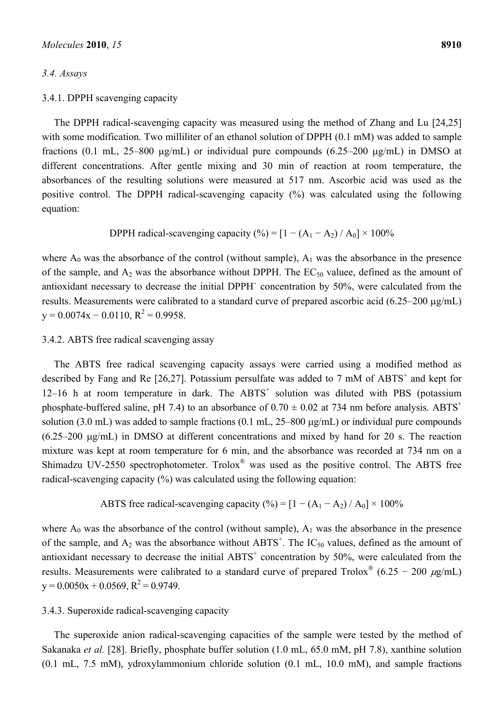## *3.4. Assays*

#### 3.4.1. DPPH scavenging capacity

The DPPH radical-scavenging capacity was measured using the method of Zhang and Lu [24,25] with some modification. Two milliliter of an ethanol solution of DPPH (0.1 mM) was added to sample fractions (0.1 mL, 25–800  $\mu$ g/mL) or individual pure compounds (6.25–200  $\mu$ g/mL) in DMSO at different concentrations. After gentle mixing and 30 min of reaction at room temperature, the absorbances of the resulting solutions were measured at 517 nm. Ascorbic acid was used as the positive control. The DPPH radical-scavenging capacity (%) was calculated using the following equation:

DPPH radical-scavenging capacity (%) =  $[1 - (A_1 - A_2) / A_0] \times 100\%$ 

where  $A_0$  was the absorbance of the control (without sample),  $A_1$  was the absorbance in the presence of the sample, and  $A_2$  was the absorbance without DPPH. The  $EC_{50}$  valuee, defined as the amount of antioxidant necessary to decrease the initial DPPH˙ concentration by 50%, were calculated from the results. Measurements were calibrated to a standard curve of prepared ascorbic acid  $(6.25-200 \text{ µg/mL})$  $y = 0.0074x - 0.0110$ ,  $R^2 = 0.9958$ .

## 3.4.2. ABTS free radical scavenging assay

The ABTS free radical scavenging capacity assays were carried using a modified method as described by Fang and Re  $[26,27]$ . Potassium persulfate was added to 7 mM of ABTS<sup>+</sup> and kept for  $12-16$  h at room temperature in dark. The  $ABTS<sup>+</sup>$  solution was diluted with PBS (potassium phosphate-buffered saline, pH 7.4) to an absorbance of  $0.70 \pm 0.02$  at 734 nm before analysis. ABTS<sup>+</sup> solution (3.0 mL) was added to sample fractions (0.1 mL,  $25-800 \mu g/mL$ ) or individual pure compounds  $(6.25-200 \text{ µg/mL})$  in DMSO at different concentrations and mixed by hand for 20 s. The reaction mixture was kept at room temperature for 6 min, and the absorbance was recorded at 734 nm on a Shimadzu UV-2550 spectrophotometer. Trolox® was used as the positive control. The ABTS free radical-scavenging capacity (%) was calculated using the following equation:

ABTS free radical-scavenging capacity (%) =  $[1 - (A_1 - A_2) / A_0] \times 100\%$ 

where  $A_0$  was the absorbance of the control (without sample),  $A_1$  was the absorbance in the presence of the sample, and  $A_2$  was the absorbance without  $ABTS^+$ . The  $IC_{50}$  values, defined as the amount of antioxidant necessary to decrease the initial  $ABTS<sup>+</sup>$  concentration by 50%, were calculated from the results. Measurements were calibrated to a standard curve of prepared Trolox<sup>®</sup> (6.25 – 200  $\mu$ g/mL)  $y = 0.0050x + 0.0569$ ,  $R^2 = 0.9749$ .

## 3.4.3. Superoxide radical-scavenging capacity

The superoxide anion radical-scavenging capacities of the sample were tested by the method of Sakanaka *et al.* [28]. Briefly, phosphate buffer solution (1.0 mL, 65.0 mM, pH 7.8), xanthine solution (0.1 mL, 7.5 mM), ydroxylammonium chloride solution (0.1 mL, 10.0 mM), and sample fractions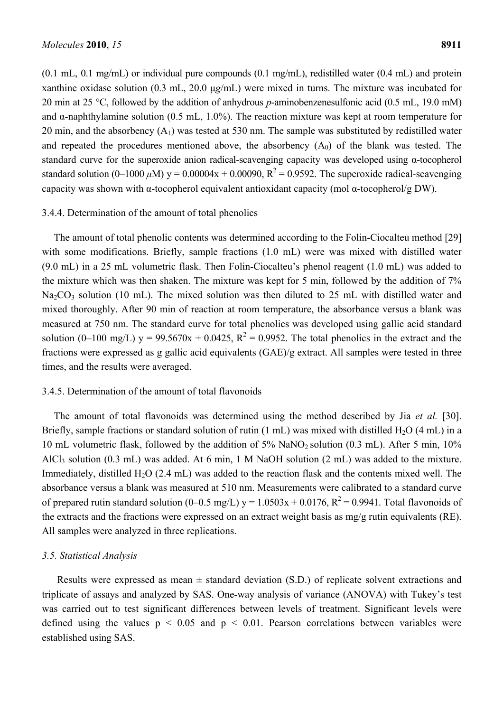(0.1 mL, 0.1 mg/mL) or individual pure compounds (0.1 mg/mL), redistilled water (0.4 mL) and protein xanthine oxidase solution (0.3 mL, 20.0 μ*g*/mL) were mixed in turns. The mixture was incubated for 20 min at 25 °C, followed by the addition of anhydrous *p*-aminobenzenesulfonic acid (0.5 mL, 19.0 mM) and  $\alpha$ -naphthylamine solution (0.5 mL, 1.0%). The reaction mixture was kept at room temperature for 20 min, and the absorbency  $(A_1)$  was tested at 530 nm. The sample was substituted by redistilled water and repeated the procedures mentioned above, the absorbency  $(A_0)$  of the blank was tested. The standard curve for the superoxide anion radical-scavenging capacity was developed using α-tocopherol standard solution (0–1000  $\mu$ M) y = 0.00004x + 0.00090, R<sup>2</sup> = 0.9592. The superoxide radical-scavenging capacity was shown with α-tocopherol equivalent antioxidant capacity (mol α-tocopherol/g DW).

#### 3.4.4. Determination of the amount of total phenolics

The amount of total phenolic contents was determined according to the Folin-Ciocalteu method [29] with some modifications. Briefly, sample fractions (1.0 mL) were was mixed with distilled water (9.0 mL) in a 25 mL volumetric flask. Then Folin-Ciocalteu's phenol reagent (1.0 mL) was added to the mixture which was then shaken. The mixture was kept for 5 min, followed by the addition of 7%  $Na<sub>2</sub>CO<sub>3</sub>$  solution (10 mL). The mixed solution was then diluted to 25 mL with distilled water and mixed thoroughly. After 90 min of reaction at room temperature, the absorbance versus a blank was measured at 750 nm. The standard curve for total phenolics was developed using gallic acid standard solution (0–100 mg/L)  $y = 99.5670x + 0.0425$ ,  $R^2 = 0.9952$ . The total phenolics in the extract and the fractions were expressed as g gallic acid equivalents (GAE)/g extract. All samples were tested in three times, and the results were averaged.

#### 3.4.5. Determination of the amount of total flavonoids

The amount of total flavonoids was determined using the method described by Jia *et al.* [30]. Briefly, sample fractions or standard solution of rutin  $(1 \text{ mL})$  was mixed with distilled H<sub>2</sub>O  $(4 \text{ mL})$  in a 10 mL volumetric flask, followed by the addition of 5% NaNO2 solution (0.3 mL). After 5 min, 10% AlCl<sub>3</sub> solution (0.3 mL) was added. At 6 min, 1 M NaOH solution (2 mL) was added to the mixture. Immediately, distilled  $H_2O$  (2.4 mL) was added to the reaction flask and the contents mixed well. The absorbance versus a blank was measured at 510 nm. Measurements were calibrated to a standard curve of prepared rutin standard solution (0–0.5 mg/L) y =  $1.0503x + 0.0176$ , R<sup>2</sup> = 0.9941. Total flavonoids of the extracts and the fractions were expressed on an extract weight basis as mg/g rutin equivalents (RE). All samples were analyzed in three replications.

#### *3.5. Statistical Analysis*

Results were expressed as mean  $\pm$  standard deviation (S.D.) of replicate solvent extractions and triplicate of assays and analyzed by SAS. One-way analysis of variance (ANOVA) with Tukey's test was carried out to test significant differences between levels of treatment. Significant levels were defined using the values  $p \leq 0.05$  and  $p \leq 0.01$ . Pearson correlations between variables were established using SAS.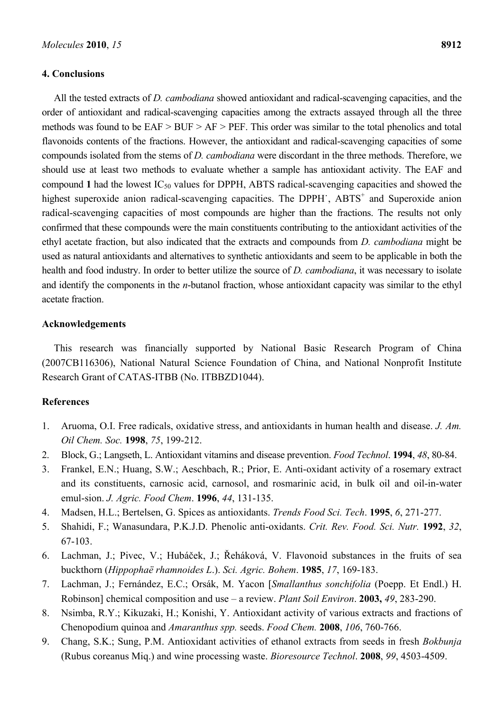#### **4. Conclusions**

All the tested extracts of *D. cambodiana* showed antioxidant and radical-scavenging capacities, and the order of antioxidant and radical-scavenging capacities among the extracts assayed through all the three methods was found to be EAF > BUF > AF > PEF. This order was similar to the total phenolics and total flavonoids contents of the fractions. However, the antioxidant and radical-scavenging capacities of some compounds isolated from the stems of *D. cambodiana* were discordant in the three methods. Therefore, we should use at least two methods to evaluate whether a sample has antioxidant activity. The EAF and compound 1 had the lowest  $IC_{50}$  values for DPPH, ABTS radical-scavenging capacities and showed the highest superoxide anion radical-scavenging capacities. The DPPH , ABTS<sup>+</sup> and Superoxide anion radical-scavenging capacities of most compounds are higher than the fractions. The results not only confirmed that these compounds were the main constituents contributing to the antioxidant activities of the ethyl acetate fraction, but also indicated that the extracts and compounds from *D. cambodiana* might be used as natural antioxidants and alternatives to synthetic antioxidants and seem to be applicable in both the health and food industry. In order to better utilize the source of *D. cambodiana*, it was necessary to isolate and identify the components in the *n*-butanol fraction, whose antioxidant capacity was similar to the ethyl acetate fraction.

### **Acknowledgements**

This research was financially supported by National Basic Research Program of China (2007CB116306), National Natural Science Foundation of China, and National Nonprofit Institute Research Grant of CATAS-ITBB (No. ITBBZD1044).

#### **References**

- 1. Aruoma, O.I. Free radicals, oxidative stress, and antioxidants in human health and disease. *J. Am. Oil Chem. Soc.* **1998**, *75*, 199-212.
- 2. Block, G.; Langseth, L. Antioxidant vitamins and disease prevention. *Food Technol*. **1994**, *48*, 80-84.
- 3. Frankel, E.N.; Huang, S.W.; Aeschbach, R.; Prior, E. Anti-oxidant activity of a rosemary extract and its constituents, carnosic acid, carnosol, and rosmarinic acid, in bulk oil and oil-in-water emul-sion. *J. Agric. Food Chem*. **1996**, *44*, 131-135.
- 4. Madsen, H.L.; Bertelsen, G. Spices as antioxidants. *Trends Food Sci. Tech*. **1995**, *6*, 271-277.
- 5. Shahidi, F.; Wanasundara, P.K.J.D. Phenolic anti-oxidants. *Crit. Rev. Food. Sci. Nutr.* **1992**, *32*, 67-103.
- 6. Lachman, J.; Pivec, V.; Hubáček, J.; Řeháková, V. Flavonoid substances in the fruits of sea buckthorn (*Hippophaë rhamnoides L*.). *Sci. Agric. Bohem*. **1985**, *17*, 169-183.
- 7. Lachman, J.; Fernández, E.C.; Orsák, M. Yacon *Smallanthus sonchifolia* (Poepp. Et Endl.) H. Robinson] chemical composition and use – a review. *Plant Soil Environ*. **2003,** 49, 283-290.
- 8. Nsimba, R.Y.; Kikuzaki, H.; Konishi, Y. Antioxidant activity of various extracts and fractions of Chenopodium quinoa and *Amaranthus spp.* seeds. *Food Chem.* **2008**, *106*, 760-766.
- 9. Chang, S.K.; Sung, P.M. Antioxidant activities of ethanol extracts from seeds in fresh *Bokbunja* (Rubus coreanus Miq.) and wine processing waste. *Bioresource Technol*. **2008**, *99*, 4503-4509.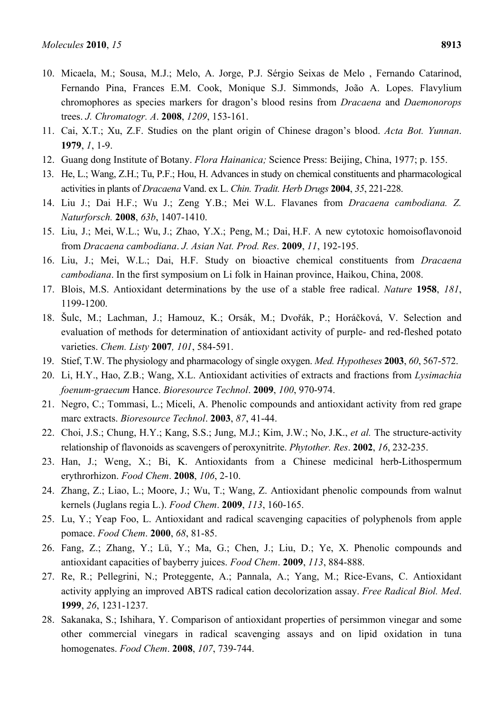- 10. Micaela, M.; Sousa, M.J.; Melo, A. Jorge, P.J. Sérgio Seixas de Melo , Fernando Catarinod, Fernando Pina, Frances E.M. Cook, Monique S.J. Simmonds, João A. Lopes. Flavylium chromophores as species markers for dragon's blood resins from *Dracaena* and *Daemonorops* trees. *J. Chromatogr. A*. **2008**, *1209*, 153-161.
- 11. Cai, X.T.; Xu, Z.F. Studies on the plant origin of Chinese dragon's blood. *Acta Bot. Yunnan*. **1979**, *1*, 1-9.
- 12. Guang dong Institute of Botany. *Flora Hainanica;* Science Press: Beijing, China, 1977; p. 155.
- 13. He, L.; Wang, Z.H.; Tu, P.F.; Hou, H. Advances in study on chemical constituents and pharmacological activities in plants of *Dracaena* Vand. ex L. *Chin. Tradit. Herb Drugs* **2004**, *35*, 221-228.
- 14. Liu J.; Dai H.F.; Wu J.; Zeng Y.B.; Mei W.L. Flavanes from *Dracaena cambodiana. Z. Naturforsch.* **2008**, *63b*, 1407-1410.
- 15. Liu, J.; Mei, W.L.; Wu, J.; Zhao, Y.X.; Peng, M.; Dai, H.F. A new cytotoxic homoisoflavonoid from *Dracaena cambodiana*. *J. Asian Nat. Prod. Res*. **2009**, *11*, 192-195.
- 16. Liu, J.; Mei, W.L.; Dai, H.F. Study on bioactive chemical constituents from *Dracaena cambodiana*. In the first symposium on Li folk in Hainan province, Haikou, China, 2008.
- 17. Blois, M.S. Antioxidant determinations by the use of a stable free radical. *Nature* **1958**, *181*, 1199-1200.
- 18. Šulc, M.; Lachman, J.; Hamouz, K.; Orsák, M.; Dvořák, P.; Horáčková, V. Selection and evaluation of methods for determination of antioxidant activity of purple- and red-fleshed potato varieties. *Chem. Listy* **2007***, 101*, 584-591.
- 19. Stief, T.W. The physiology and pharmacology of single oxygen. *Med. Hypotheses* **2003**, *60*, 567-572.
- 20. Li, H.Y., Hao, Z.B.; Wang, X.L. Antioxidant activities of extracts and fractions from *Lysimachia foenum-graecum* Hance. *Bioresource Technol*. **2009**, *100*, 970-974.
- 21. Negro, C.; Tommasi, L.; Miceli, A. Phenolic compounds and antioxidant activity from red grape marc extracts. *Bioresource Technol*. **2003**, *87*, 41-44.
- 22. Choi, J.S.; Chung, H.Y.; Kang, S.S.; Jung, M.J.; Kim, J.W.; No, J.K., *et al.* The structure-activity relationship of flavonoids as scavengers of peroxynitrite. *Phytother. Res*. **2002**, *16*, 232-235.
- 23. Han, J.; Weng, X.; Bi, K. Antioxidants from a Chinese medicinal herb-Lithospermum erythrorhizon. *Food Chem*. **2008**, *106*, 2-10.
- 24. Zhang, Z.; Liao, L.; Moore, J.; Wu, T.; Wang, Z. Antioxidant phenolic compounds from walnut kernels (Juglans regia L.). *Food Chem*. **2009**, *113*, 160-165.
- 25. Lu, Y.; Yeap Foo, L. Antioxidant and radical scavenging capacities of polyphenols from apple pomace. *Food Chem*. **2000**, *68*, 81-85.
- 26. Fang, Z.; Zhang, Y.; Lü, Y.; Ma, G.; Chen, J.; Liu, D.; Ye, X. Phenolic compounds and antioxidant capacities of bayberry juices. *Food Chem*. **2009**, *113*, 884-888.
- 27. Re, R.; Pellegrini, N.; Proteggente, A.; Pannala, A.; Yang, M.; Rice-Evans, C. Antioxidant activity applying an improved ABTS radical cation decolorization assay. *Free Radical Biol. Med*. **1999**, *26*, 1231-1237.
- 28. Sakanaka, S.; Ishihara, Y. Comparison of antioxidant properties of persimmon vinegar and some other commercial vinegars in radical scavenging assays and on lipid oxidation in tuna homogenates. *Food Chem*. **2008**, *107*, 739-744.